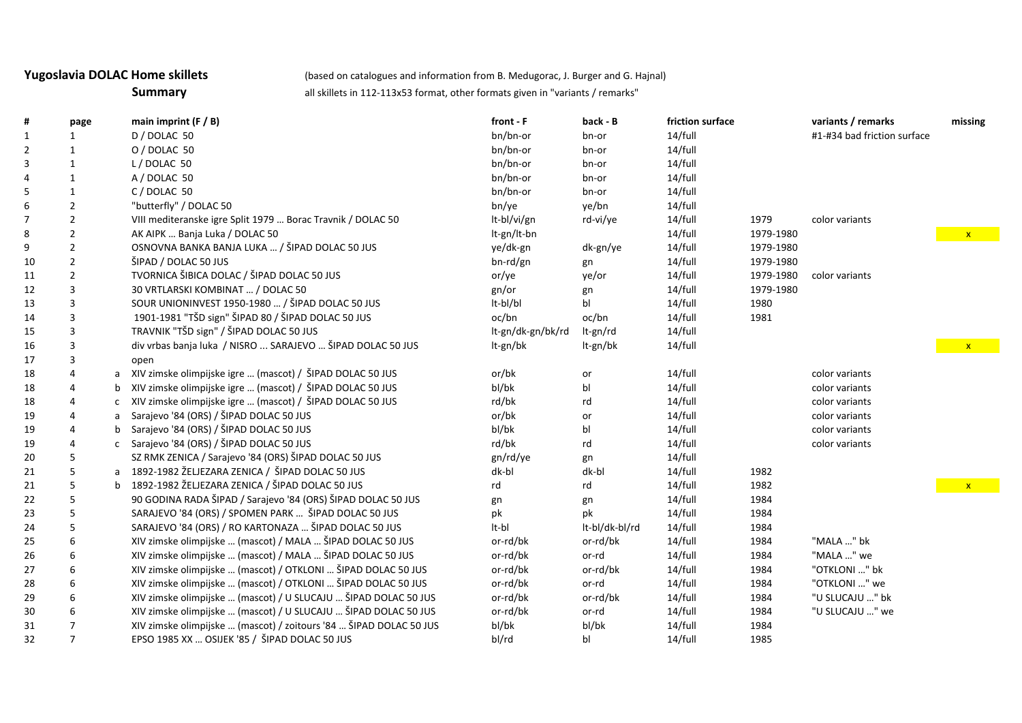**Yugoslavia DOLAC Home skillets** (based on catalogues and information from B. Medugorac, J. Burger and G. Hajnal)

**Summary** all skillets in 112-113x53 format, other formats given in "variants / remarks"

| #              | page           |   | main imprint $(F / B)$                                             | front - F         | back - B       | friction surface |           | variants / remarks          | missing      |
|----------------|----------------|---|--------------------------------------------------------------------|-------------------|----------------|------------------|-----------|-----------------------------|--------------|
| $\mathbf{1}$   |                |   | D / DOLAC 50                                                       | bn/bn-or          | bn-or          | 14/full          |           | #1-#34 bad friction surface |              |
| $\overline{2}$ |                |   | O / DOLAC 50                                                       | bn/bn-or          | bn-or          | 14/full          |           |                             |              |
| 3              |                |   | L/DOLAC 50                                                         | bn/bn-or          | bn-or          | 14/full          |           |                             |              |
| 4              | 1              |   | A / DOLAC 50                                                       | bn/bn-or          | bn-or          | 14/full          |           |                             |              |
| 5              | 1              |   | C / DOLAC 50                                                       | bn/bn-or          | bn-or          | 14/full          |           |                             |              |
| 6              | $\overline{2}$ |   | "butterfly" / DOLAC 50                                             | bn/ye             | ye/bn          | 14/full          |           |                             |              |
|                | $\overline{2}$ |   | VIII mediteranske igre Split 1979  Borac Travnik / DOLAC 50        | It-bl/vi/gn       | rd-vi/ye       | 14/full          | 1979      | color variants              |              |
| 8              | $\overline{2}$ |   | AK AIPK  Banja Luka / DOLAC 50                                     | It-gn/It-bn       |                | 14/full          | 1979-1980 |                             | $\mathbf{x}$ |
| 9              | $\overline{2}$ |   | OSNOVNA BANKA BANJA LUKA  / ŠIPAD DOLAC 50 JUS                     | ye/dk-gn          | dk-gn/ye       | 14/full          | 1979-1980 |                             |              |
| 10             | $\overline{2}$ |   | ŠIPAD / DOLAC 50 JUS                                               | bn-rd/gn          | gn             | 14/full          | 1979-1980 |                             |              |
| 11             | $\overline{2}$ |   | TVORNICA ŠIBICA DOLAC / ŠIPAD DOLAC 50 JUS                         | or/ye             | ye/or          | 14/full          | 1979-1980 | color variants              |              |
| 12             | 3              |   | 30 VRTLARSKI KOMBINAT  / DOLAC 50                                  | gn/or             | gn             | 14/full          | 1979-1980 |                             |              |
| 13             | 3              |   | SOUR UNIONINVEST 1950-1980  / ŠIPAD DOLAC 50 JUS                   | lt-bl/bl          | bl             | 14/full          | 1980      |                             |              |
| 14             | 3              |   | 1901-1981 "TŠD sign" ŠIPAD 80 / ŠIPAD DOLAC 50 JUS                 | oc/bn             | oc/bn          | 14/full          | 1981      |                             |              |
| 15             |                |   | TRAVNIK "TŠD sign" / ŠIPAD DOLAC 50 JUS                            | lt-gn/dk-gn/bk/rd | It-gn/rd       | 14/full          |           |                             |              |
| 16             | 3              |   | div vrbas banja luka / NISRO  SARAJEVO  ŠIPAD DOLAC 50 JUS         | It-gn/bk          | lt-gn/bk       | 14/full          |           |                             | $\mathbf{x}$ |
| 17             |                |   | open                                                               |                   |                |                  |           |                             |              |
| 18             |                | a | XIV zimske olimpijske igre  (mascot) / ŠIPAD DOLAC 50 JUS          | or/bk             | or             | 14/full          |           | color variants              |              |
| 18             |                |   | XIV zimske olimpijske igre  (mascot) / ŠIPAD DOLAC 50 JUS          | bl/bk             | bl             | 14/full          |           | color variants              |              |
| 18             |                |   | XIV zimske olimpijske igre  (mascot) / ŠIPAD DOLAC 50 JUS          | rd/bk             | rd             | 14/full          |           | color variants              |              |
| 19             |                |   | Sarajevo '84 (ORS) / ŠIPAD DOLAC 50 JUS                            | or/bk             | or             | 14/full          |           | color variants              |              |
| 19             |                |   | Sarajevo '84 (ORS) / ŠIPAD DOLAC 50 JUS                            | bl/bk             | bl             | 14/full          |           | color variants              |              |
| 19             |                |   | Sarajevo '84 (ORS) / ŠIPAD DOLAC 50 JUS                            | rd/bk             | rd             | 14/full          |           | color variants              |              |
| 20             |                |   | SZ RMK ZENICA / Sarajevo '84 (ORS) ŠIPAD DOLAC 50 JUS              | gn/rd/ye          | gn             | 14/full          |           |                             |              |
| 21             |                | a | 1892-1982 ŽELJEZARA ZENICA / ŠIPAD DOLAC 50 JUS                    | dk-bl             | dk-bl          | 14/full          | 1982      |                             |              |
| 21             |                | b | 1892-1982 ŽELJEZARA ZENICA / ŠIPAD DOLAC 50 JUS                    | rd                | rd             | 14/full          | 1982      |                             |              |
| 22             |                |   | 90 GODINA RADA ŠIPAD / Sarajevo '84 (ORS) ŠIPAD DOLAC 50 JUS       | gn                | gn             | 14/full          | 1984      |                             |              |
| 23             |                |   | SARAJEVO '84 (ORS) / SPOMEN PARK  ŠIPAD DOLAC 50 JUS               | pk                | pk             | 14/full          | 1984      |                             |              |
| 24             |                |   | SARAJEVO '84 (ORS) / RO KARTONAZA  ŠIPAD DOLAC 50 JUS              | It-bl             | lt-bl/dk-bl/rd | 14/full          | 1984      |                             |              |
| 25             |                |   | XIV zimske olimpijske  (mascot) / MALA  ŠIPAD DOLAC 50 JUS         | or-rd/bk          | or-rd/bk       | 14/full          | 1984      | "MALA " bk                  |              |
| 26             | O.             |   | XIV zimske olimpijske  (mascot) / MALA  ŠIPAD DOLAC 50 JUS         | or-rd/bk          | or-rd          | 14/full          | 1984      | "MALA " we                  |              |
| 27             | 6              |   | XIV zimske olimpijske  (mascot) / OTKLONI  ŠIPAD DOLAC 50 JUS      | or-rd/bk          | or-rd/bk       | 14/full          | 1984      | "OTKLONI " bk               |              |
| 28             |                |   | XIV zimske olimpijske  (mascot) / OTKLONI  ŠIPAD DOLAC 50 JUS      | or-rd/bk          | or-rd          | 14/full          | 1984      | "OTKLONI " we               |              |
| 29             |                |   | XIV zimske olimpijske  (mascot) / U SLUCAJU  ŠIPAD DOLAC 50 JUS    | or-rd/bk          | or-rd/bk       | 14/full          | 1984      | "U SLUCAJU " bk             |              |
| 30             |                |   | XIV zimske olimpijske  (mascot) / U SLUCAJU  ŠIPAD DOLAC 50 JUS    | or-rd/bk          | or-rd          | 14/full          | 1984      | "U SLUCAJU " we             |              |
| 31             |                |   | XIV zimske olimpijske  (mascot) / zoitours '84  ŠIPAD DOLAC 50 JUS | bl/bk             | bl/bk          | 14/full          | 1984      |                             |              |
| 32             | $\overline{7}$ |   | EPSO 1985 XX  OSIJEK '85 / ŠIPAD DOLAC 50 JUS                      | bl/rd             | bl             | 14/full          | 1985      |                             |              |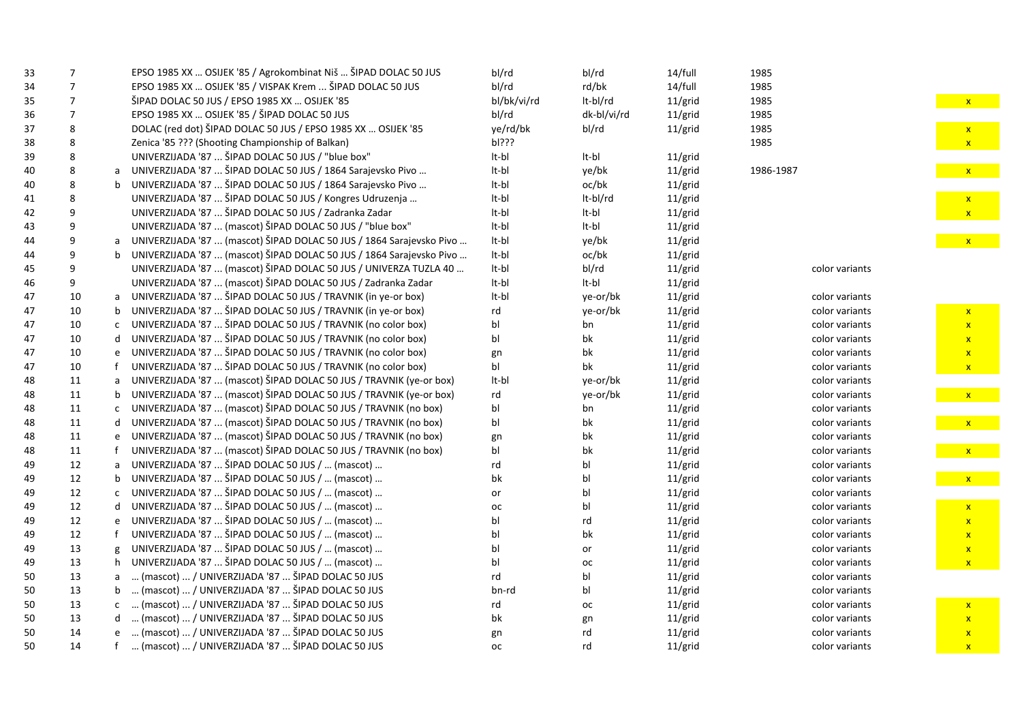| EPSO 1985 XX  OSIJEK '85 / VISPAK Krem  ŠIPAD DOLAC 50 JUS<br>bl/rd<br>7<br>rd/bk<br>14/full<br>1985<br>34<br>ŠIPAD DOLAC 50 JUS / EPSO 1985 XX  OSIJEK '85<br>bl/bk/vi/rd<br>It-bl/rd<br>7<br>11/grid<br>1985<br>35<br>EPSO 1985 XX  OSIJEK '85 / ŠIPAD DOLAC 50 JUS<br>bl/rd<br>dk-bl/vi/rd<br>$11/\text{grid}$<br>1985<br>36<br>7<br>DOLAC (red dot) ŠIPAD DOLAC 50 JUS / EPSO 1985 XX  OSIJEK '85<br>ye/rd/bk<br>bl/rd<br>11/grid<br>37<br>8<br>1985<br>Zenica '85 ??? (Shooting Championship of Balkan)<br>bl???<br>1985<br>38<br>8<br>UNIVERZIJADA '87  ŠIPAD DOLAC 50 JUS / "blue box"<br>8<br>It-bl<br>It-bl<br>11/grid<br>39<br>UNIVERZIJADA '87  ŠIPAD DOLAC 50 JUS / 1864 Sarajevsko Pivo<br>It-bl<br>8<br>ye/bk<br>$11/\text{grid}$<br>1986-1987<br>40<br>UNIVERZIJADA '87  ŠIPAD DOLAC 50 JUS / 1864 Sarajevsko Pivo<br>oc/bk<br>It-bl<br>$11/\text{grid}$<br>8<br>40<br>UNIVERZIJADA '87  ŠIPAD DOLAC 50 JUS / Kongres Udruzenja<br>It-bl/rd<br>8<br>It-bl<br>$11/\text{grid}$<br>41<br>UNIVERZIJADA '87  ŠIPAD DOLAC 50 JUS / Zadranka Zadar<br>It-bl<br>It-bl<br>$11/\text{grid}$<br>42<br>9<br>UNIVERZIJADA '87  (mascot) ŠIPAD DOLAC 50 JUS / "blue box"<br>It-bl<br>It-bl<br>9<br>$11/\text{grid}$<br>43<br>UNIVERZIJADA '87  (mascot) ŠIPAD DOLAC 50 JUS / 1864 Sarajevsko Pivo<br>9<br>It-bl<br>ye/bk<br>11/grid<br>44<br>UNIVERZIJADA '87  (mascot) ŠIPAD DOLAC 50 JUS / 1864 Sarajevsko Pivo<br>lt-bl<br>oc/bk<br>$11/\text{grid}$<br>9<br>44<br>UNIVERZIJADA '87  (mascot) ŠIPAD DOLAC 50 JUS / UNIVERZA TUZLA 40<br>It-bl<br>bl/rd<br>$11/\text{grid}$<br>9<br>45<br>color variants<br>UNIVERZIJADA '87  (mascot) ŠIPAD DOLAC 50 JUS / Zadranka Zadar<br>It-bl<br>9<br>It-bl<br>$11/\text{grid}$<br>46<br>UNIVERZIJADA '87  ŠIPAD DOLAC 50 JUS / TRAVNIK (in ye-or box)<br>It-bl<br>ye-or/bk<br>$11/\text{grid}$<br>10<br>47<br>color variants<br>a<br>UNIVERZIJADA '87  ŠIPAD DOLAC 50 JUS / TRAVNIK (in ye-or box)<br>10<br>ye-or/bk<br>$11/\text{grid}$<br>47<br>rd<br>color variants<br>UNIVERZIJADA '87  ŠIPAD DOLAC 50 JUS / TRAVNIK (no color box)<br>10<br>$11/\text{grid}$<br>bl<br>color variants<br>47<br>bn<br>UNIVERZIJADA '87  ŠIPAD DOLAC 50 JUS / TRAVNIK (no color box)<br>bk<br>10<br>$11/\text{grid}$<br>bl<br>color variants<br>47<br>UNIVERZIJADA '87  ŠIPAD DOLAC 50 JUS / TRAVNIK (no color box)<br>bk<br>10<br>$11/\text{grid}$<br>color variants<br>47<br>gn<br>UNIVERZIJADA '87  ŠIPAD DOLAC 50 JUS / TRAVNIK (no color box)<br>bl<br>10<br>bk<br>$11/\text{grid}$<br>color variants<br>47<br>UNIVERZIJADA '87  (mascot) ŠIPAD DOLAC 50 JUS / TRAVNIK (ye-or box)<br>11<br>It-bl<br>$11/\text{grid}$<br>ye-or/bk<br>color variants<br>48<br>UNIVERZIJADA '87  (mascot) ŠIPAD DOLAC 50 JUS / TRAVNIK (ye-or box)<br>11<br>48<br>rd<br>ye-or/bk<br>$11/\text{grid}$<br>color variants<br>UNIVERZIJADA '87  (mascot) ŠIPAD DOLAC 50 JUS / TRAVNIK (no box)<br>$11/\text{grid}$<br>11<br>bl<br>bn<br>color variants<br>48<br>UNIVERZIJADA '87  (mascot) ŠIPAD DOLAC 50 JUS / TRAVNIK (no box)<br>bk<br>11<br>bl<br>$11/\text{grid}$<br>48<br>color variants<br>UNIVERZIJADA '87  (mascot) ŠIPAD DOLAC 50 JUS / TRAVNIK (no box)<br>11<br>bk<br>$11/\text{grid}$<br>color variants<br>48<br>gn<br>UNIVERZIJADA '87  (mascot) ŠIPAD DOLAC 50 JUS / TRAVNIK (no box)<br>11<br>bl<br>bk<br>$11/\text{grid}$<br>color variants<br>48<br>UNIVERZIJADA '87  ŠIPAD DOLAC 50 JUS /  (mascot)<br>12<br>bl<br>$11/\text{grid}$<br>color variants<br>49<br>rd<br>UNIVERZIJADA '87  ŠIPAD DOLAC 50 JUS /  (mascot)<br>12<br>bk<br>$11/\text{grid}$<br>49<br>bl<br>color variants<br>UNIVERZIJADA '87  ŠIPAD DOLAC 50 JUS /  (mascot)<br>12<br>bl<br>11/grid<br>color variants<br>49<br>or<br>UNIVERZIJADA '87  ŠIPAD DOLAC 50 JUS /  (mascot)<br>bl<br>11/grid<br>color variants<br>12<br>49<br>d<br>oc<br>UNIVERZIJADA '87  ŠIPAD DOLAC 50 JUS /  (mascot)<br>12<br>bl<br>$11/\text{grid}$<br>49<br>rd<br>color variants<br>e<br>UNIVERZIJADA '87  ŠIPAD DOLAC 50 JUS /  (mascot)<br>bk<br>12<br>bl<br>$11/\text{grid}$<br>color variants<br>49<br>UNIVERZIJADA '87  ŠIPAD DOLAC 50 JUS /  (mascot)<br>13<br>bl<br>$11/\text{grid}$<br>color variants<br>49<br>g<br>or | 33 | 7 | EPSO 1985 XX  OSIJEK '85 / Agrokombinat Niš  ŠIPAD DOLAC 50 JUS | bl/rd | bl/rd | 14/full | 1985 |  |
|-----------------------------------------------------------------------------------------------------------------------------------------------------------------------------------------------------------------------------------------------------------------------------------------------------------------------------------------------------------------------------------------------------------------------------------------------------------------------------------------------------------------------------------------------------------------------------------------------------------------------------------------------------------------------------------------------------------------------------------------------------------------------------------------------------------------------------------------------------------------------------------------------------------------------------------------------------------------------------------------------------------------------------------------------------------------------------------------------------------------------------------------------------------------------------------------------------------------------------------------------------------------------------------------------------------------------------------------------------------------------------------------------------------------------------------------------------------------------------------------------------------------------------------------------------------------------------------------------------------------------------------------------------------------------------------------------------------------------------------------------------------------------------------------------------------------------------------------------------------------------------------------------------------------------------------------------------------------------------------------------------------------------------------------------------------------------------------------------------------------------------------------------------------------------------------------------------------------------------------------------------------------------------------------------------------------------------------------------------------------------------------------------------------------------------------------------------------------------------------------------------------------------------------------------------------------------------------------------------------------------------------------------------------------------------------------------------------------------------------------------------------------------------------------------------------------------------------------------------------------------------------------------------------------------------------------------------------------------------------------------------------------------------------------------------------------------------------------------------------------------------------------------------------------------------------------------------------------------------------------------------------------------------------------------------------------------------------------------------------------------------------------------------------------------------------------------------------------------------------------------------------------------------------------------------------------------------------------------------------------------------------------------------------------------------------------------------------------------------------------------------------------------------------------------------------------------------------------------------------------------------------------------------------------------------------------------------------------------------------------------------------------------------------------------------------------------------------------------------------------------------------------------------------------------------------------------------------|----|---|-----------------------------------------------------------------|-------|-------|---------|------|--|
|                                                                                                                                                                                                                                                                                                                                                                                                                                                                                                                                                                                                                                                                                                                                                                                                                                                                                                                                                                                                                                                                                                                                                                                                                                                                                                                                                                                                                                                                                                                                                                                                                                                                                                                                                                                                                                                                                                                                                                                                                                                                                                                                                                                                                                                                                                                                                                                                                                                                                                                                                                                                                                                                                                                                                                                                                                                                                                                                                                                                                                                                                                                                                                                                                                                                                                                                                                                                                                                                                                                                                                                                                                                                                                                                                                                                                                                                                                                                                                                                                                                                                                                                                                                                           |    |   |                                                                 |       |       |         |      |  |
|                                                                                                                                                                                                                                                                                                                                                                                                                                                                                                                                                                                                                                                                                                                                                                                                                                                                                                                                                                                                                                                                                                                                                                                                                                                                                                                                                                                                                                                                                                                                                                                                                                                                                                                                                                                                                                                                                                                                                                                                                                                                                                                                                                                                                                                                                                                                                                                                                                                                                                                                                                                                                                                                                                                                                                                                                                                                                                                                                                                                                                                                                                                                                                                                                                                                                                                                                                                                                                                                                                                                                                                                                                                                                                                                                                                                                                                                                                                                                                                                                                                                                                                                                                                                           |    |   |                                                                 |       |       |         |      |  |
|                                                                                                                                                                                                                                                                                                                                                                                                                                                                                                                                                                                                                                                                                                                                                                                                                                                                                                                                                                                                                                                                                                                                                                                                                                                                                                                                                                                                                                                                                                                                                                                                                                                                                                                                                                                                                                                                                                                                                                                                                                                                                                                                                                                                                                                                                                                                                                                                                                                                                                                                                                                                                                                                                                                                                                                                                                                                                                                                                                                                                                                                                                                                                                                                                                                                                                                                                                                                                                                                                                                                                                                                                                                                                                                                                                                                                                                                                                                                                                                                                                                                                                                                                                                                           |    |   |                                                                 |       |       |         |      |  |
|                                                                                                                                                                                                                                                                                                                                                                                                                                                                                                                                                                                                                                                                                                                                                                                                                                                                                                                                                                                                                                                                                                                                                                                                                                                                                                                                                                                                                                                                                                                                                                                                                                                                                                                                                                                                                                                                                                                                                                                                                                                                                                                                                                                                                                                                                                                                                                                                                                                                                                                                                                                                                                                                                                                                                                                                                                                                                                                                                                                                                                                                                                                                                                                                                                                                                                                                                                                                                                                                                                                                                                                                                                                                                                                                                                                                                                                                                                                                                                                                                                                                                                                                                                                                           |    |   |                                                                 |       |       |         |      |  |
|                                                                                                                                                                                                                                                                                                                                                                                                                                                                                                                                                                                                                                                                                                                                                                                                                                                                                                                                                                                                                                                                                                                                                                                                                                                                                                                                                                                                                                                                                                                                                                                                                                                                                                                                                                                                                                                                                                                                                                                                                                                                                                                                                                                                                                                                                                                                                                                                                                                                                                                                                                                                                                                                                                                                                                                                                                                                                                                                                                                                                                                                                                                                                                                                                                                                                                                                                                                                                                                                                                                                                                                                                                                                                                                                                                                                                                                                                                                                                                                                                                                                                                                                                                                                           |    |   |                                                                 |       |       |         |      |  |
|                                                                                                                                                                                                                                                                                                                                                                                                                                                                                                                                                                                                                                                                                                                                                                                                                                                                                                                                                                                                                                                                                                                                                                                                                                                                                                                                                                                                                                                                                                                                                                                                                                                                                                                                                                                                                                                                                                                                                                                                                                                                                                                                                                                                                                                                                                                                                                                                                                                                                                                                                                                                                                                                                                                                                                                                                                                                                                                                                                                                                                                                                                                                                                                                                                                                                                                                                                                                                                                                                                                                                                                                                                                                                                                                                                                                                                                                                                                                                                                                                                                                                                                                                                                                           |    |   |                                                                 |       |       |         |      |  |
|                                                                                                                                                                                                                                                                                                                                                                                                                                                                                                                                                                                                                                                                                                                                                                                                                                                                                                                                                                                                                                                                                                                                                                                                                                                                                                                                                                                                                                                                                                                                                                                                                                                                                                                                                                                                                                                                                                                                                                                                                                                                                                                                                                                                                                                                                                                                                                                                                                                                                                                                                                                                                                                                                                                                                                                                                                                                                                                                                                                                                                                                                                                                                                                                                                                                                                                                                                                                                                                                                                                                                                                                                                                                                                                                                                                                                                                                                                                                                                                                                                                                                                                                                                                                           |    |   |                                                                 |       |       |         |      |  |
|                                                                                                                                                                                                                                                                                                                                                                                                                                                                                                                                                                                                                                                                                                                                                                                                                                                                                                                                                                                                                                                                                                                                                                                                                                                                                                                                                                                                                                                                                                                                                                                                                                                                                                                                                                                                                                                                                                                                                                                                                                                                                                                                                                                                                                                                                                                                                                                                                                                                                                                                                                                                                                                                                                                                                                                                                                                                                                                                                                                                                                                                                                                                                                                                                                                                                                                                                                                                                                                                                                                                                                                                                                                                                                                                                                                                                                                                                                                                                                                                                                                                                                                                                                                                           |    |   |                                                                 |       |       |         |      |  |
|                                                                                                                                                                                                                                                                                                                                                                                                                                                                                                                                                                                                                                                                                                                                                                                                                                                                                                                                                                                                                                                                                                                                                                                                                                                                                                                                                                                                                                                                                                                                                                                                                                                                                                                                                                                                                                                                                                                                                                                                                                                                                                                                                                                                                                                                                                                                                                                                                                                                                                                                                                                                                                                                                                                                                                                                                                                                                                                                                                                                                                                                                                                                                                                                                                                                                                                                                                                                                                                                                                                                                                                                                                                                                                                                                                                                                                                                                                                                                                                                                                                                                                                                                                                                           |    |   |                                                                 |       |       |         |      |  |
|                                                                                                                                                                                                                                                                                                                                                                                                                                                                                                                                                                                                                                                                                                                                                                                                                                                                                                                                                                                                                                                                                                                                                                                                                                                                                                                                                                                                                                                                                                                                                                                                                                                                                                                                                                                                                                                                                                                                                                                                                                                                                                                                                                                                                                                                                                                                                                                                                                                                                                                                                                                                                                                                                                                                                                                                                                                                                                                                                                                                                                                                                                                                                                                                                                                                                                                                                                                                                                                                                                                                                                                                                                                                                                                                                                                                                                                                                                                                                                                                                                                                                                                                                                                                           |    |   |                                                                 |       |       |         |      |  |
|                                                                                                                                                                                                                                                                                                                                                                                                                                                                                                                                                                                                                                                                                                                                                                                                                                                                                                                                                                                                                                                                                                                                                                                                                                                                                                                                                                                                                                                                                                                                                                                                                                                                                                                                                                                                                                                                                                                                                                                                                                                                                                                                                                                                                                                                                                                                                                                                                                                                                                                                                                                                                                                                                                                                                                                                                                                                                                                                                                                                                                                                                                                                                                                                                                                                                                                                                                                                                                                                                                                                                                                                                                                                                                                                                                                                                                                                                                                                                                                                                                                                                                                                                                                                           |    |   |                                                                 |       |       |         |      |  |
|                                                                                                                                                                                                                                                                                                                                                                                                                                                                                                                                                                                                                                                                                                                                                                                                                                                                                                                                                                                                                                                                                                                                                                                                                                                                                                                                                                                                                                                                                                                                                                                                                                                                                                                                                                                                                                                                                                                                                                                                                                                                                                                                                                                                                                                                                                                                                                                                                                                                                                                                                                                                                                                                                                                                                                                                                                                                                                                                                                                                                                                                                                                                                                                                                                                                                                                                                                                                                                                                                                                                                                                                                                                                                                                                                                                                                                                                                                                                                                                                                                                                                                                                                                                                           |    |   |                                                                 |       |       |         |      |  |
|                                                                                                                                                                                                                                                                                                                                                                                                                                                                                                                                                                                                                                                                                                                                                                                                                                                                                                                                                                                                                                                                                                                                                                                                                                                                                                                                                                                                                                                                                                                                                                                                                                                                                                                                                                                                                                                                                                                                                                                                                                                                                                                                                                                                                                                                                                                                                                                                                                                                                                                                                                                                                                                                                                                                                                                                                                                                                                                                                                                                                                                                                                                                                                                                                                                                                                                                                                                                                                                                                                                                                                                                                                                                                                                                                                                                                                                                                                                                                                                                                                                                                                                                                                                                           |    |   |                                                                 |       |       |         |      |  |
|                                                                                                                                                                                                                                                                                                                                                                                                                                                                                                                                                                                                                                                                                                                                                                                                                                                                                                                                                                                                                                                                                                                                                                                                                                                                                                                                                                                                                                                                                                                                                                                                                                                                                                                                                                                                                                                                                                                                                                                                                                                                                                                                                                                                                                                                                                                                                                                                                                                                                                                                                                                                                                                                                                                                                                                                                                                                                                                                                                                                                                                                                                                                                                                                                                                                                                                                                                                                                                                                                                                                                                                                                                                                                                                                                                                                                                                                                                                                                                                                                                                                                                                                                                                                           |    |   |                                                                 |       |       |         |      |  |
|                                                                                                                                                                                                                                                                                                                                                                                                                                                                                                                                                                                                                                                                                                                                                                                                                                                                                                                                                                                                                                                                                                                                                                                                                                                                                                                                                                                                                                                                                                                                                                                                                                                                                                                                                                                                                                                                                                                                                                                                                                                                                                                                                                                                                                                                                                                                                                                                                                                                                                                                                                                                                                                                                                                                                                                                                                                                                                                                                                                                                                                                                                                                                                                                                                                                                                                                                                                                                                                                                                                                                                                                                                                                                                                                                                                                                                                                                                                                                                                                                                                                                                                                                                                                           |    |   |                                                                 |       |       |         |      |  |
|                                                                                                                                                                                                                                                                                                                                                                                                                                                                                                                                                                                                                                                                                                                                                                                                                                                                                                                                                                                                                                                                                                                                                                                                                                                                                                                                                                                                                                                                                                                                                                                                                                                                                                                                                                                                                                                                                                                                                                                                                                                                                                                                                                                                                                                                                                                                                                                                                                                                                                                                                                                                                                                                                                                                                                                                                                                                                                                                                                                                                                                                                                                                                                                                                                                                                                                                                                                                                                                                                                                                                                                                                                                                                                                                                                                                                                                                                                                                                                                                                                                                                                                                                                                                           |    |   |                                                                 |       |       |         |      |  |
|                                                                                                                                                                                                                                                                                                                                                                                                                                                                                                                                                                                                                                                                                                                                                                                                                                                                                                                                                                                                                                                                                                                                                                                                                                                                                                                                                                                                                                                                                                                                                                                                                                                                                                                                                                                                                                                                                                                                                                                                                                                                                                                                                                                                                                                                                                                                                                                                                                                                                                                                                                                                                                                                                                                                                                                                                                                                                                                                                                                                                                                                                                                                                                                                                                                                                                                                                                                                                                                                                                                                                                                                                                                                                                                                                                                                                                                                                                                                                                                                                                                                                                                                                                                                           |    |   |                                                                 |       |       |         |      |  |
|                                                                                                                                                                                                                                                                                                                                                                                                                                                                                                                                                                                                                                                                                                                                                                                                                                                                                                                                                                                                                                                                                                                                                                                                                                                                                                                                                                                                                                                                                                                                                                                                                                                                                                                                                                                                                                                                                                                                                                                                                                                                                                                                                                                                                                                                                                                                                                                                                                                                                                                                                                                                                                                                                                                                                                                                                                                                                                                                                                                                                                                                                                                                                                                                                                                                                                                                                                                                                                                                                                                                                                                                                                                                                                                                                                                                                                                                                                                                                                                                                                                                                                                                                                                                           |    |   |                                                                 |       |       |         |      |  |
|                                                                                                                                                                                                                                                                                                                                                                                                                                                                                                                                                                                                                                                                                                                                                                                                                                                                                                                                                                                                                                                                                                                                                                                                                                                                                                                                                                                                                                                                                                                                                                                                                                                                                                                                                                                                                                                                                                                                                                                                                                                                                                                                                                                                                                                                                                                                                                                                                                                                                                                                                                                                                                                                                                                                                                                                                                                                                                                                                                                                                                                                                                                                                                                                                                                                                                                                                                                                                                                                                                                                                                                                                                                                                                                                                                                                                                                                                                                                                                                                                                                                                                                                                                                                           |    |   |                                                                 |       |       |         |      |  |
|                                                                                                                                                                                                                                                                                                                                                                                                                                                                                                                                                                                                                                                                                                                                                                                                                                                                                                                                                                                                                                                                                                                                                                                                                                                                                                                                                                                                                                                                                                                                                                                                                                                                                                                                                                                                                                                                                                                                                                                                                                                                                                                                                                                                                                                                                                                                                                                                                                                                                                                                                                                                                                                                                                                                                                                                                                                                                                                                                                                                                                                                                                                                                                                                                                                                                                                                                                                                                                                                                                                                                                                                                                                                                                                                                                                                                                                                                                                                                                                                                                                                                                                                                                                                           |    |   |                                                                 |       |       |         |      |  |
|                                                                                                                                                                                                                                                                                                                                                                                                                                                                                                                                                                                                                                                                                                                                                                                                                                                                                                                                                                                                                                                                                                                                                                                                                                                                                                                                                                                                                                                                                                                                                                                                                                                                                                                                                                                                                                                                                                                                                                                                                                                                                                                                                                                                                                                                                                                                                                                                                                                                                                                                                                                                                                                                                                                                                                                                                                                                                                                                                                                                                                                                                                                                                                                                                                                                                                                                                                                                                                                                                                                                                                                                                                                                                                                                                                                                                                                                                                                                                                                                                                                                                                                                                                                                           |    |   |                                                                 |       |       |         |      |  |
|                                                                                                                                                                                                                                                                                                                                                                                                                                                                                                                                                                                                                                                                                                                                                                                                                                                                                                                                                                                                                                                                                                                                                                                                                                                                                                                                                                                                                                                                                                                                                                                                                                                                                                                                                                                                                                                                                                                                                                                                                                                                                                                                                                                                                                                                                                                                                                                                                                                                                                                                                                                                                                                                                                                                                                                                                                                                                                                                                                                                                                                                                                                                                                                                                                                                                                                                                                                                                                                                                                                                                                                                                                                                                                                                                                                                                                                                                                                                                                                                                                                                                                                                                                                                           |    |   |                                                                 |       |       |         |      |  |
|                                                                                                                                                                                                                                                                                                                                                                                                                                                                                                                                                                                                                                                                                                                                                                                                                                                                                                                                                                                                                                                                                                                                                                                                                                                                                                                                                                                                                                                                                                                                                                                                                                                                                                                                                                                                                                                                                                                                                                                                                                                                                                                                                                                                                                                                                                                                                                                                                                                                                                                                                                                                                                                                                                                                                                                                                                                                                                                                                                                                                                                                                                                                                                                                                                                                                                                                                                                                                                                                                                                                                                                                                                                                                                                                                                                                                                                                                                                                                                                                                                                                                                                                                                                                           |    |   |                                                                 |       |       |         |      |  |
|                                                                                                                                                                                                                                                                                                                                                                                                                                                                                                                                                                                                                                                                                                                                                                                                                                                                                                                                                                                                                                                                                                                                                                                                                                                                                                                                                                                                                                                                                                                                                                                                                                                                                                                                                                                                                                                                                                                                                                                                                                                                                                                                                                                                                                                                                                                                                                                                                                                                                                                                                                                                                                                                                                                                                                                                                                                                                                                                                                                                                                                                                                                                                                                                                                                                                                                                                                                                                                                                                                                                                                                                                                                                                                                                                                                                                                                                                                                                                                                                                                                                                                                                                                                                           |    |   |                                                                 |       |       |         |      |  |
|                                                                                                                                                                                                                                                                                                                                                                                                                                                                                                                                                                                                                                                                                                                                                                                                                                                                                                                                                                                                                                                                                                                                                                                                                                                                                                                                                                                                                                                                                                                                                                                                                                                                                                                                                                                                                                                                                                                                                                                                                                                                                                                                                                                                                                                                                                                                                                                                                                                                                                                                                                                                                                                                                                                                                                                                                                                                                                                                                                                                                                                                                                                                                                                                                                                                                                                                                                                                                                                                                                                                                                                                                                                                                                                                                                                                                                                                                                                                                                                                                                                                                                                                                                                                           |    |   |                                                                 |       |       |         |      |  |
|                                                                                                                                                                                                                                                                                                                                                                                                                                                                                                                                                                                                                                                                                                                                                                                                                                                                                                                                                                                                                                                                                                                                                                                                                                                                                                                                                                                                                                                                                                                                                                                                                                                                                                                                                                                                                                                                                                                                                                                                                                                                                                                                                                                                                                                                                                                                                                                                                                                                                                                                                                                                                                                                                                                                                                                                                                                                                                                                                                                                                                                                                                                                                                                                                                                                                                                                                                                                                                                                                                                                                                                                                                                                                                                                                                                                                                                                                                                                                                                                                                                                                                                                                                                                           |    |   |                                                                 |       |       |         |      |  |
|                                                                                                                                                                                                                                                                                                                                                                                                                                                                                                                                                                                                                                                                                                                                                                                                                                                                                                                                                                                                                                                                                                                                                                                                                                                                                                                                                                                                                                                                                                                                                                                                                                                                                                                                                                                                                                                                                                                                                                                                                                                                                                                                                                                                                                                                                                                                                                                                                                                                                                                                                                                                                                                                                                                                                                                                                                                                                                                                                                                                                                                                                                                                                                                                                                                                                                                                                                                                                                                                                                                                                                                                                                                                                                                                                                                                                                                                                                                                                                                                                                                                                                                                                                                                           |    |   |                                                                 |       |       |         |      |  |
|                                                                                                                                                                                                                                                                                                                                                                                                                                                                                                                                                                                                                                                                                                                                                                                                                                                                                                                                                                                                                                                                                                                                                                                                                                                                                                                                                                                                                                                                                                                                                                                                                                                                                                                                                                                                                                                                                                                                                                                                                                                                                                                                                                                                                                                                                                                                                                                                                                                                                                                                                                                                                                                                                                                                                                                                                                                                                                                                                                                                                                                                                                                                                                                                                                                                                                                                                                                                                                                                                                                                                                                                                                                                                                                                                                                                                                                                                                                                                                                                                                                                                                                                                                                                           |    |   |                                                                 |       |       |         |      |  |
|                                                                                                                                                                                                                                                                                                                                                                                                                                                                                                                                                                                                                                                                                                                                                                                                                                                                                                                                                                                                                                                                                                                                                                                                                                                                                                                                                                                                                                                                                                                                                                                                                                                                                                                                                                                                                                                                                                                                                                                                                                                                                                                                                                                                                                                                                                                                                                                                                                                                                                                                                                                                                                                                                                                                                                                                                                                                                                                                                                                                                                                                                                                                                                                                                                                                                                                                                                                                                                                                                                                                                                                                                                                                                                                                                                                                                                                                                                                                                                                                                                                                                                                                                                                                           |    |   |                                                                 |       |       |         |      |  |
|                                                                                                                                                                                                                                                                                                                                                                                                                                                                                                                                                                                                                                                                                                                                                                                                                                                                                                                                                                                                                                                                                                                                                                                                                                                                                                                                                                                                                                                                                                                                                                                                                                                                                                                                                                                                                                                                                                                                                                                                                                                                                                                                                                                                                                                                                                                                                                                                                                                                                                                                                                                                                                                                                                                                                                                                                                                                                                                                                                                                                                                                                                                                                                                                                                                                                                                                                                                                                                                                                                                                                                                                                                                                                                                                                                                                                                                                                                                                                                                                                                                                                                                                                                                                           |    |   |                                                                 |       |       |         |      |  |
|                                                                                                                                                                                                                                                                                                                                                                                                                                                                                                                                                                                                                                                                                                                                                                                                                                                                                                                                                                                                                                                                                                                                                                                                                                                                                                                                                                                                                                                                                                                                                                                                                                                                                                                                                                                                                                                                                                                                                                                                                                                                                                                                                                                                                                                                                                                                                                                                                                                                                                                                                                                                                                                                                                                                                                                                                                                                                                                                                                                                                                                                                                                                                                                                                                                                                                                                                                                                                                                                                                                                                                                                                                                                                                                                                                                                                                                                                                                                                                                                                                                                                                                                                                                                           |    |   |                                                                 |       |       |         |      |  |
|                                                                                                                                                                                                                                                                                                                                                                                                                                                                                                                                                                                                                                                                                                                                                                                                                                                                                                                                                                                                                                                                                                                                                                                                                                                                                                                                                                                                                                                                                                                                                                                                                                                                                                                                                                                                                                                                                                                                                                                                                                                                                                                                                                                                                                                                                                                                                                                                                                                                                                                                                                                                                                                                                                                                                                                                                                                                                                                                                                                                                                                                                                                                                                                                                                                                                                                                                                                                                                                                                                                                                                                                                                                                                                                                                                                                                                                                                                                                                                                                                                                                                                                                                                                                           |    |   |                                                                 |       |       |         |      |  |
|                                                                                                                                                                                                                                                                                                                                                                                                                                                                                                                                                                                                                                                                                                                                                                                                                                                                                                                                                                                                                                                                                                                                                                                                                                                                                                                                                                                                                                                                                                                                                                                                                                                                                                                                                                                                                                                                                                                                                                                                                                                                                                                                                                                                                                                                                                                                                                                                                                                                                                                                                                                                                                                                                                                                                                                                                                                                                                                                                                                                                                                                                                                                                                                                                                                                                                                                                                                                                                                                                                                                                                                                                                                                                                                                                                                                                                                                                                                                                                                                                                                                                                                                                                                                           |    |   |                                                                 |       |       |         |      |  |
|                                                                                                                                                                                                                                                                                                                                                                                                                                                                                                                                                                                                                                                                                                                                                                                                                                                                                                                                                                                                                                                                                                                                                                                                                                                                                                                                                                                                                                                                                                                                                                                                                                                                                                                                                                                                                                                                                                                                                                                                                                                                                                                                                                                                                                                                                                                                                                                                                                                                                                                                                                                                                                                                                                                                                                                                                                                                                                                                                                                                                                                                                                                                                                                                                                                                                                                                                                                                                                                                                                                                                                                                                                                                                                                                                                                                                                                                                                                                                                                                                                                                                                                                                                                                           |    |   |                                                                 |       |       |         |      |  |
| UNIVERZIJADA '87  ŠIPAD DOLAC 50 JUS /  (mascot)<br>13<br>bl<br>$11/\text{grid}$<br>color variants<br>49<br>oc                                                                                                                                                                                                                                                                                                                                                                                                                                                                                                                                                                                                                                                                                                                                                                                                                                                                                                                                                                                                                                                                                                                                                                                                                                                                                                                                                                                                                                                                                                                                                                                                                                                                                                                                                                                                                                                                                                                                                                                                                                                                                                                                                                                                                                                                                                                                                                                                                                                                                                                                                                                                                                                                                                                                                                                                                                                                                                                                                                                                                                                                                                                                                                                                                                                                                                                                                                                                                                                                                                                                                                                                                                                                                                                                                                                                                                                                                                                                                                                                                                                                                            |    |   |                                                                 |       |       |         |      |  |
| 13<br>(mascot)  / UNIVERZIJADA '87  ŠIPAD DOLAC 50 JUS<br>bl<br>$11/\text{grid}$<br>rd<br>50<br>color variants<br>a                                                                                                                                                                                                                                                                                                                                                                                                                                                                                                                                                                                                                                                                                                                                                                                                                                                                                                                                                                                                                                                                                                                                                                                                                                                                                                                                                                                                                                                                                                                                                                                                                                                                                                                                                                                                                                                                                                                                                                                                                                                                                                                                                                                                                                                                                                                                                                                                                                                                                                                                                                                                                                                                                                                                                                                                                                                                                                                                                                                                                                                                                                                                                                                                                                                                                                                                                                                                                                                                                                                                                                                                                                                                                                                                                                                                                                                                                                                                                                                                                                                                                       |    |   |                                                                 |       |       |         |      |  |
| 13<br>(mascot)  / UNIVERZIJADA '87  ŠIPAD DOLAC 50 JUS<br>bl<br>$11/\text{grid}$<br>color variants<br>50<br>bn-rd                                                                                                                                                                                                                                                                                                                                                                                                                                                                                                                                                                                                                                                                                                                                                                                                                                                                                                                                                                                                                                                                                                                                                                                                                                                                                                                                                                                                                                                                                                                                                                                                                                                                                                                                                                                                                                                                                                                                                                                                                                                                                                                                                                                                                                                                                                                                                                                                                                                                                                                                                                                                                                                                                                                                                                                                                                                                                                                                                                                                                                                                                                                                                                                                                                                                                                                                                                                                                                                                                                                                                                                                                                                                                                                                                                                                                                                                                                                                                                                                                                                                                         |    |   |                                                                 |       |       |         |      |  |
| (mascot)  / UNIVERZIJADA '87  ŠIPAD DOLAC 50 JUS<br>13<br>$11/\text{grid}$<br>color variants<br>50<br>rd<br>oc                                                                                                                                                                                                                                                                                                                                                                                                                                                                                                                                                                                                                                                                                                                                                                                                                                                                                                                                                                                                                                                                                                                                                                                                                                                                                                                                                                                                                                                                                                                                                                                                                                                                                                                                                                                                                                                                                                                                                                                                                                                                                                                                                                                                                                                                                                                                                                                                                                                                                                                                                                                                                                                                                                                                                                                                                                                                                                                                                                                                                                                                                                                                                                                                                                                                                                                                                                                                                                                                                                                                                                                                                                                                                                                                                                                                                                                                                                                                                                                                                                                                                            |    |   |                                                                 |       |       |         |      |  |
| (mascot)  / UNIVERZIJADA '87  ŠIPAD DOLAC 50 JUS<br>13<br>bk<br>$11/\text{grid}$<br>color variants<br>50<br>gn                                                                                                                                                                                                                                                                                                                                                                                                                                                                                                                                                                                                                                                                                                                                                                                                                                                                                                                                                                                                                                                                                                                                                                                                                                                                                                                                                                                                                                                                                                                                                                                                                                                                                                                                                                                                                                                                                                                                                                                                                                                                                                                                                                                                                                                                                                                                                                                                                                                                                                                                                                                                                                                                                                                                                                                                                                                                                                                                                                                                                                                                                                                                                                                                                                                                                                                                                                                                                                                                                                                                                                                                                                                                                                                                                                                                                                                                                                                                                                                                                                                                                            |    |   |                                                                 |       |       |         |      |  |
| (mascot)  / UNIVERZIJADA '87  ŠIPAD DOLAC 50 JUS<br>14<br>$11/\text{grid}$<br>color variants<br>50<br>rd<br>gn                                                                                                                                                                                                                                                                                                                                                                                                                                                                                                                                                                                                                                                                                                                                                                                                                                                                                                                                                                                                                                                                                                                                                                                                                                                                                                                                                                                                                                                                                                                                                                                                                                                                                                                                                                                                                                                                                                                                                                                                                                                                                                                                                                                                                                                                                                                                                                                                                                                                                                                                                                                                                                                                                                                                                                                                                                                                                                                                                                                                                                                                                                                                                                                                                                                                                                                                                                                                                                                                                                                                                                                                                                                                                                                                                                                                                                                                                                                                                                                                                                                                                            |    |   |                                                                 |       |       |         |      |  |
| (mascot)  / UNIVERZIJADA '87  ŠIPAD DOLAC 50 JUS<br>14<br>rd<br>50<br>$11/\text{grid}$<br>color variants<br>oc                                                                                                                                                                                                                                                                                                                                                                                                                                                                                                                                                                                                                                                                                                                                                                                                                                                                                                                                                                                                                                                                                                                                                                                                                                                                                                                                                                                                                                                                                                                                                                                                                                                                                                                                                                                                                                                                                                                                                                                                                                                                                                                                                                                                                                                                                                                                                                                                                                                                                                                                                                                                                                                                                                                                                                                                                                                                                                                                                                                                                                                                                                                                                                                                                                                                                                                                                                                                                                                                                                                                                                                                                                                                                                                                                                                                                                                                                                                                                                                                                                                                                            |    |   |                                                                 |       |       |         |      |  |

x

x

x

x

x

x

x

x

x

x

x

x

x

x

x

x

x

x

x

x

x

x

x

x

x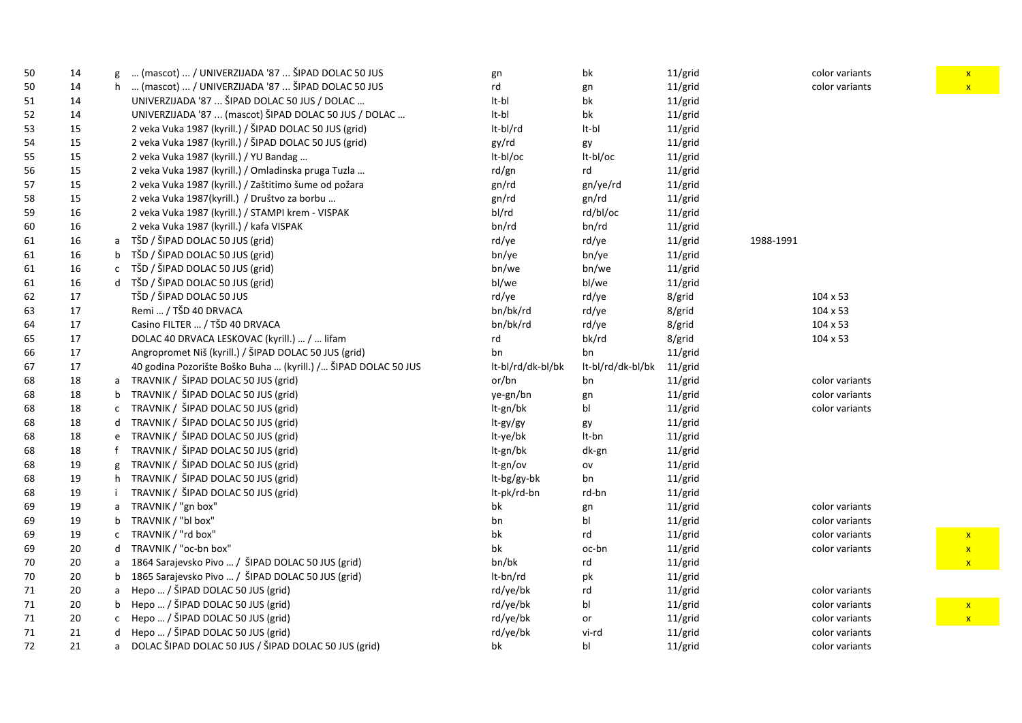| 50 | 14 |    | (mascot)  / UNIVERZIJADA '87  ŠIPAD DOLAC 50 JUS               | gn                | bk                                                | 11/grid |           | color variants  |
|----|----|----|----------------------------------------------------------------|-------------------|---------------------------------------------------|---------|-----------|-----------------|
| 50 | 14 | h. | (mascot)  / UNIVERZIJADA '87  ŠIPAD DOLAC 50 JUS               | rd                | gn                                                | 11/grid |           | color variants  |
| 51 | 14 |    | UNIVERZIJADA '87  ŠIPAD DOLAC 50 JUS / DOLAC                   | lt-bl             | bk                                                | 11/grid |           |                 |
| 52 | 14 |    | UNIVERZIJADA '87  (mascot) ŠIPAD DOLAC 50 JUS / DOLAC          | lt-bl             | bk                                                | 11/grid |           |                 |
| 53 | 15 |    | 2 veka Vuka 1987 (kyrill.) / ŠIPAD DOLAC 50 JUS (grid)         | It-bl/rd          | It-bl                                             | 11/grid |           |                 |
| 54 | 15 |    | 2 veka Vuka 1987 (kyrill.) / ŠIPAD DOLAC 50 JUS (grid)         | gy/rd             | gy                                                | 11/grid |           |                 |
| 55 | 15 |    | 2 veka Vuka 1987 (kyrill.) / YU Bandag                         | lt-bl/oc          | It-bl/oc                                          | 11/grid |           |                 |
| 56 | 15 |    | 2 veka Vuka 1987 (kyrill.) / Omladinska pruga Tuzla            | rd/gn             | rd                                                | 11/grid |           |                 |
| 57 | 15 |    | 2 veka Vuka 1987 (kyrill.) / Zaštitimo šume od požara          | gn/rd             | gn/ye/rd                                          | 11/grid |           |                 |
| 58 | 15 |    | 2 veka Vuka 1987(kyrill.) / Društvo za borbu                   | gn/rd             | gn/rd                                             | 11/grid |           |                 |
| 59 | 16 |    | 2 veka Vuka 1987 (kyrill.) / STAMPI krem - VISPAK              | bl/rd             | rd/bl/oc                                          | 11/grid |           |                 |
| 60 | 16 |    | 2 veka Vuka 1987 (kyrill.) / kafa VISPAK                       | bn/rd             | bn/rd                                             | 11/grid |           |                 |
| 61 | 16 | a  | TŠD / ŠIPAD DOLAC 50 JUS (grid)                                | rd/ye             | rd/ye                                             | 11/grid | 1988-1991 |                 |
| 61 | 16 | b  | TŠD / ŠIPAD DOLAC 50 JUS (grid)                                | bn/ye             | bn/ye                                             | 11/grid |           |                 |
| 61 | 16 | C  | TŠD / ŠIPAD DOLAC 50 JUS (grid)                                | bn/we             | bn/we                                             | 11/grid |           |                 |
| 61 | 16 | d  | TŠD / ŠIPAD DOLAC 50 JUS (grid)                                | bl/we             | bl/we                                             | 11/grid |           |                 |
| 62 | 17 |    | TŠD / ŠIPAD DOLAC 50 JUS                                       | rd/ye             | rd/ye                                             | 8/grid  |           | 104 x 53        |
| 63 | 17 |    | Remi  / TŠD 40 DRVACA                                          | bn/bk/rd          | rd/ye                                             | 8/grid  |           | 104 x 53        |
| 64 | 17 |    | Casino FILTER  / TŠD 40 DRVACA                                 | bn/bk/rd          | rd/ye                                             | 8/grid  |           | $104 \times 53$ |
| 65 | 17 |    | DOLAC 40 DRVACA LESKOVAC (kyrill.)  /  lifam                   | rd                | bk/rd                                             | 8/grid  |           | 104 x 53        |
| 66 | 17 |    | Angropromet Niš (kyrill.) / ŠIPAD DOLAC 50 JUS (grid)          | bn                | bn                                                | 11/grid |           |                 |
| 67 | 17 |    | 40 godina Pozorište Boško Buha  (kyrill.) / ŠIPAD DOLAC 50 JUS | lt-bl/rd/dk-bl/bk | lt-bl/rd/dk-bl/bk                                 | 11/grid |           |                 |
| 68 | 18 | a  | TRAVNIK / ŠIPAD DOLAC 50 JUS (grid)                            | or/bn             | bn                                                | 11/grid |           | color variants  |
| 68 | 18 | b  | TRAVNIK / ŠIPAD DOLAC 50 JUS (grid)                            | ye-gn/bn          | gn                                                | 11/grid |           | color variants  |
| 68 | 18 | c  | TRAVNIK / ŠIPAD DOLAC 50 JUS (grid)                            | lt-gn/bk          | bl                                                | 11/grid |           | color variants  |
| 68 | 18 | d  | TRAVNIK / ŠIPAD DOLAC 50 JUS (grid)                            | It-gy/gy          | gy                                                | 11/grid |           |                 |
| 68 | 18 | e  | TRAVNIK / ŠIPAD DOLAC 50 JUS (grid)                            | lt-ye/bk          | It-bn                                             | 11/grid |           |                 |
| 68 | 18 |    | TRAVNIK / ŠIPAD DOLAC 50 JUS (grid)                            | It-gn/bk          | dk-gn                                             | 11/grid |           |                 |
| 68 | 19 | g  | TRAVNIK / ŠIPAD DOLAC 50 JUS (grid)                            | It-gn/ov          | $\mathsf{ov}% (\theta)\equiv\mathsf{cov}(\theta)$ | 11/grid |           |                 |
| 68 | 19 | h. | TRAVNIK / ŠIPAD DOLAC 50 JUS (grid)                            | It-bg/gy-bk       | bn                                                | 11/grid |           |                 |
| 68 | 19 |    | TRAVNIK / ŠIPAD DOLAC 50 JUS (grid)                            | lt-pk/rd-bn       | rd-bn                                             | 11/grid |           |                 |
| 69 | 19 |    | TRAVNIK / "gn box"                                             | bk                | gn                                                | 11/grid |           | color variants  |
| 69 | 19 |    | TRAVNIK / "bl box"                                             | bn                | bl                                                | 11/grid |           | color variants  |
| 69 | 19 | C  | TRAVNIK / "rd box"                                             | bk                | rd                                                | 11/grid |           | color variants  |
| 69 | 20 | d  | TRAVNIK / "oc-bn box"                                          | bk                | oc-bn                                             | 11/grid |           | color variants  |
| 70 | 20 | a  | 1864 Sarajevsko Pivo  / ŠIPAD DOLAC 50 JUS (grid)              | bn/bk             | rd                                                | 11/grid |           |                 |
| 70 | 20 | b  | 1865 Sarajevsko Pivo  / ŠIPAD DOLAC 50 JUS (grid)              | It-bn/rd          | pk                                                | 11/grid |           |                 |
| 71 | 20 | a  | Hepo  / ŠIPAD DOLAC 50 JUS (grid)                              | rd/ye/bk          | rd                                                | 11/grid |           | color variants  |
| 71 | 20 | b  | Hepo  / ŠIPAD DOLAC 50 JUS (grid)                              | rd/ye/bk          | bl                                                | 11/grid |           | color variants  |
| 71 | 20 | C  | Hepo  / ŠIPAD DOLAC 50 JUS (grid)                              | rd/ye/bk          | or                                                | 11/grid |           | color variants  |
| 71 | 21 | d  | Hepo  / ŠIPAD DOLAC 50 JUS (grid)                              | rd/ye/bk          | vi-rd                                             | 11/grid |           | color variants  |
| 72 | 21 | a  | DOLAC ŠIPAD DOLAC 50 JUS / ŠIPAD DOLAC 50 JUS (grid)           | bk                | bl                                                | 11/grid |           | color variants  |

x

x x

x x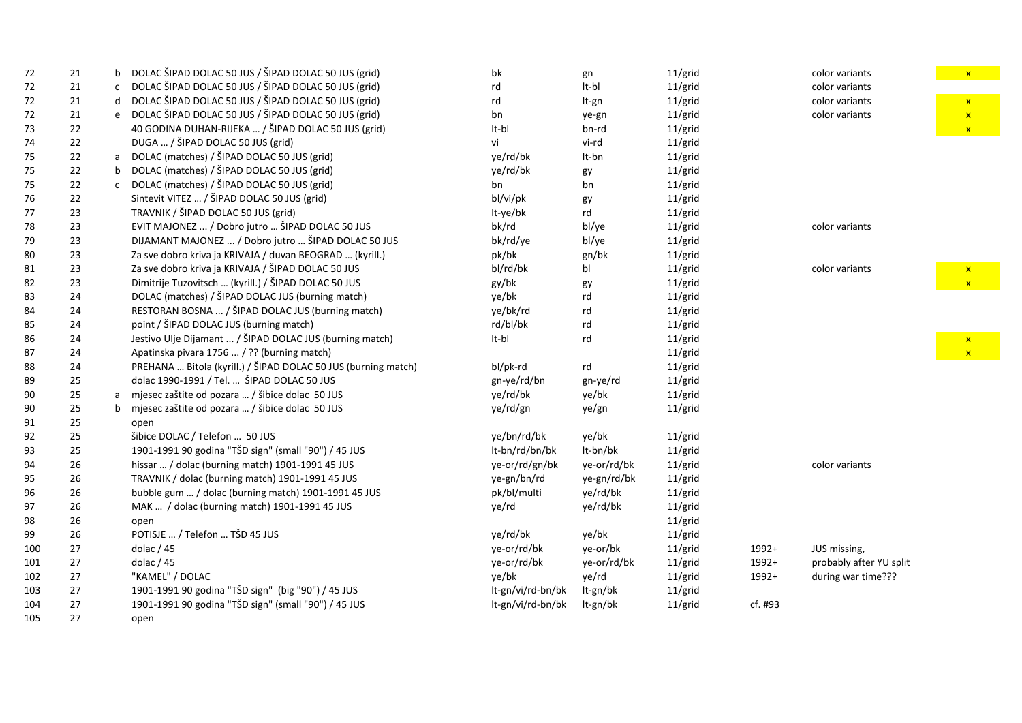| 72  | 21 | b            | DOLAC ŠIPAD DOLAC 50 JUS / ŠIPAD DOLAC 50 JUS (grid)           | bk                | gn          | 11/grid |         | color variants          |
|-----|----|--------------|----------------------------------------------------------------|-------------------|-------------|---------|---------|-------------------------|
| 72  | 21 | $\mathsf{C}$ | DOLAC ŠIPAD DOLAC 50 JUS / ŠIPAD DOLAC 50 JUS (grid)           | rd                | It-bl       | 11/grid |         | color variants          |
| 72  | 21 | d            | DOLAC ŠIPAD DOLAC 50 JUS / ŠIPAD DOLAC 50 JUS (grid)           | rd                | It-gn       | 11/grid |         | color variants          |
| 72  | 21 | e            | DOLAC ŠIPAD DOLAC 50 JUS / ŠIPAD DOLAC 50 JUS (grid)           | bn                | ye-gn       | 11/grid |         | color variants          |
| 73  | 22 |              | 40 GODINA DUHAN-RIJEKA  / ŠIPAD DOLAC 50 JUS (grid)            | It-bl             | bn-rd       | 11/grid |         |                         |
| 74  | 22 |              | DUGA  / ŠIPAD DOLAC 50 JUS (grid)                              | vi                | vi-rd       | 11/grid |         |                         |
| 75  | 22 | a            | DOLAC (matches) / ŠIPAD DOLAC 50 JUS (grid)                    | ye/rd/bk          | It-bn       | 11/grid |         |                         |
| 75  | 22 | b            | DOLAC (matches) / ŠIPAD DOLAC 50 JUS (grid)                    | ye/rd/bk          | gy          | 11/grid |         |                         |
| 75  | 22 | $\mathsf{C}$ | DOLAC (matches) / ŠIPAD DOLAC 50 JUS (grid)                    | bn                | bn          | 11/grid |         |                         |
| 76  | 22 |              | Sintevit VITEZ  / ŠIPAD DOLAC 50 JUS (grid)                    | bl/vi/pk          | gy          | 11/grid |         |                         |
| 77  | 23 |              | TRAVNIK / ŠIPAD DOLAC 50 JUS (grid)                            | lt-ye/bk          | rd          | 11/grid |         |                         |
| 78  | 23 |              | EVIT MAJONEZ  / Dobro jutro  ŠIPAD DOLAC 50 JUS                | bk/rd             | bl/ye       | 11/grid |         | color variants          |
| 79  | 23 |              | DIJAMANT MAJONEZ  / Dobro jutro  ŠIPAD DOLAC 50 JUS            | bk/rd/ye          | bl/ye       | 11/grid |         |                         |
| 80  | 23 |              | Za sve dobro kriva ja KRIVAJA / duvan BEOGRAD  (kyrill.)       | pk/bk             | gn/bk       | 11/grid |         |                         |
| 81  | 23 |              | Za sve dobro kriva ja KRIVAJA / ŠIPAD DOLAC 50 JUS             | bl/rd/bk          | bl          | 11/grid |         | color variants          |
| 82  | 23 |              | Dimitrije Tuzovitsch  (kyrill.) / ŠIPAD DOLAC 50 JUS           | gy/bk             | gy          | 11/grid |         |                         |
| 83  | 24 |              | DOLAC (matches) / ŠIPAD DOLAC JUS (burning match)              | ye/bk             | rd          | 11/grid |         |                         |
| 84  | 24 |              | RESTORAN BOSNA  / ŠIPAD DOLAC JUS (burning match)              | ye/bk/rd          | rd          | 11/grid |         |                         |
| 85  | 24 |              | point / ŠIPAD DOLAC JUS (burning match)                        | rd/bl/bk          | rd          | 11/grid |         |                         |
| 86  | 24 |              | Jestivo Ulje Dijamant  / ŠIPAD DOLAC JUS (burning match)       | It-bl             | rd          | 11/grid |         |                         |
| 87  | 24 |              | Apatinska pivara 1756  / ?? (burning match)                    |                   |             | 11/grid |         |                         |
| 88  | 24 |              | PREHANA  Bitola (kyrill.) / ŠIPAD DOLAC 50 JUS (burning match) | bl/pk-rd          | rd          | 11/grid |         |                         |
| 89  | 25 |              | dolac 1990-1991 / Tel.  ŠIPAD DOLAC 50 JUS                     | gn-ye/rd/bn       | gn-ye/rd    | 11/grid |         |                         |
| 90  | 25 | a            | mjesec zaštite od pozara  / šibice dolac 50 JUS                | ye/rd/bk          | ye/bk       | 11/grid |         |                         |
| 90  | 25 | $\mathsf{b}$ | mjesec zaštite od pozara  / šibice dolac 50 JUS                | ye/rd/gn          | ye/gn       | 11/grid |         |                         |
| 91  | 25 |              | open                                                           |                   |             |         |         |                         |
| 92  | 25 |              | šibice DOLAC / Telefon  50 JUS                                 | ye/bn/rd/bk       | ye/bk       | 11/grid |         |                         |
| 93  | 25 |              | 1901-1991 90 godina "TŠD sign" (small "90") / 45 JUS           | lt-bn/rd/bn/bk    | It-bn/bk    | 11/grid |         |                         |
| 94  | 26 |              | hissar  / dolac (burning match) 1901-1991 45 JUS               | ye-or/rd/gn/bk    | ye-or/rd/bk | 11/grid |         | color variants          |
| 95  | 26 |              | TRAVNIK / dolac (burning match) 1901-1991 45 JUS               | ye-gn/bn/rd       | ye-gn/rd/bk | 11/grid |         |                         |
| 96  | 26 |              | bubble gum  / dolac (burning match) 1901-1991 45 JUS           | pk/bl/multi       | ye/rd/bk    | 11/grid |         |                         |
| 97  | 26 |              | MAK  / dolac (burning match) 1901-1991 45 JUS                  | ye/rd             | ye/rd/bk    | 11/grid |         |                         |
| 98  | 26 |              | open                                                           |                   |             | 11/grid |         |                         |
| 99  | 26 |              | POTISJE  / Telefon  TŠD 45 JUS                                 | ye/rd/bk          | ye/bk       | 11/grid |         |                         |
| 100 | 27 |              | dolac $/45$                                                    | ye-or/rd/bk       | ye-or/bk    | 11/grid | 1992+   | JUS missing,            |
| 101 | 27 |              | dolac $/45$                                                    | ye-or/rd/bk       | ye-or/rd/bk | 11/grid | 1992+   | probably after YU split |
| 102 | 27 |              | "KAMEL" / DOLAC                                                | ye/bk             | ye/rd       | 11/grid | 1992+   | during war time???      |
| 103 | 27 |              | 1901-1991 90 godina "TŠD sign" (big "90") / 45 JUS             | lt-gn/vi/rd-bn/bk | It-gn/bk    | 11/grid |         |                         |
| 104 | 27 |              | 1901-1991 90 godina "TŠD sign" (small "90") / 45 JUS           | lt-gn/vi/rd-bn/bk | It-gn/bk    | 11/grid | cf. #93 |                         |
| 105 | 27 |              | open                                                           |                   |             |         |         |                         |

 $\begin{array}{|c|c|c|}\hline \textbf{x} & \textbf{x} \end{array}$  $\mathbf{x} = \mathbf{x}$ x x

> x x

x x